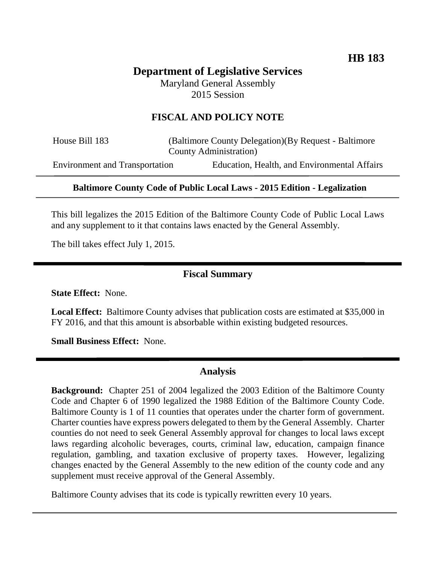# **Department of Legislative Services** Maryland General Assembly

2015 Session

# **FISCAL AND POLICY NOTE**

House Bill 183 (Baltimore County Delegation)(By Request - Baltimore County Administration)

Environment and Transportation Education, Health, and Environmental Affairs

# **Baltimore County Code of Public Local Laws - 2015 Edition - Legalization**

This bill legalizes the 2015 Edition of the Baltimore County Code of Public Local Laws and any supplement to it that contains laws enacted by the General Assembly.

The bill takes effect July 1, 2015.

# **Fiscal Summary**

**State Effect:** None.

**Local Effect:** Baltimore County advises that publication costs are estimated at \$35,000 in FY 2016, and that this amount is absorbable within existing budgeted resources.

**Small Business Effect:** None.

#### **Analysis**

**Background:** Chapter 251 of 2004 legalized the 2003 Edition of the Baltimore County Code and Chapter 6 of 1990 legalized the 1988 Edition of the Baltimore County Code. Baltimore County is 1 of 11 counties that operates under the charter form of government. Charter counties have express powers delegated to them by the General Assembly. Charter counties do not need to seek General Assembly approval for changes to local laws except laws regarding alcoholic beverages, courts, criminal law, education, campaign finance regulation, gambling, and taxation exclusive of property taxes. However, legalizing changes enacted by the General Assembly to the new edition of the county code and any supplement must receive approval of the General Assembly.

Baltimore County advises that its code is typically rewritten every 10 years.